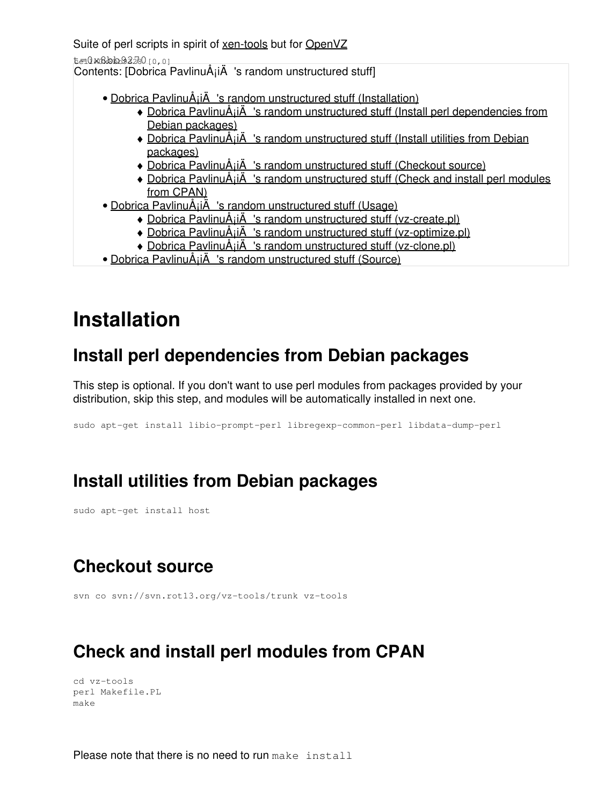Suite of perl scripts in spirit of [xen-tools](http://www.xen-tools.org/) but for [OpenVZ](http://openvz.org/)

t=0x8bb93280 [0,0]

Contents: [Dobrica PavlinuÅ<sub>j</sub>iÄ 's random unstructured stuff]

- Dobrica PavlinuÅ<sub>i</sub>jÄ 's random unstructured stuff (Installation)
	- Dobrica PavlinuA<sub>i</sub>iA 's random unstructured stuff (Install perl dependencies from [Debian packages\)](https://saturn.ffzg.hr/rot13/index.cgi?dobrica_pavlinu%C5%A1i%C4%87_s_random_unstructured_stuff#install_perl_dependencies_from_debian_packages)
	- Dobrica PavlinuA<sub>i</sub>iA 's random unstructured stuff (Install utilities from Debian [packages\)](https://saturn.ffzg.hr/rot13/index.cgi?dobrica_pavlinu%C5%A1i%C4%87_s_random_unstructured_stuff#install_utilities_from_debian_packages)
	- ◆ Dobrica PavlinuÅ¡iÄ 's random unstructured stuff (Checkout source)
	- Dobrica PavlinuA<sub>i</sub>iA 's random unstructured stuff (Check and install perl modules [from CPAN\)](https://saturn.ffzg.hr/rot13/index.cgi?dobrica_pavlinu%C5%A1i%C4%87_s_random_unstructured_stuff#check_and_install_perl_modules_from_cpan)
- Dobrica PavlinuÅ<sub>i</sub>jÄ 's random unstructured stuff (Usage)
	- ◆ Dobrica PavlinuÅ<sub>i</sub>iÄ's random unstructured stuff (vz-create.pl)
	- ◆ Dobrica PavlinuÅ<sub>i</sub>jÄ 's random unstructured stuff (vz-optimize.pl)
	- ◆ Dobrica PavlinuÅ<sub>j</sub>iÄ 's random unstructured stuff (vz-clone.pl)
- Dobrica PavlinuÅ<sub>i</sub>jÄ 's random unstructured stuff (Source)

# **Installation**

### **Install perl dependencies from Debian packages**

This step is optional. If you don't want to use perl modules from packages provided by your distribution, skip this step, and modules will be automatically installed in next one.

sudo apt-get install libio-prompt-perl libregexp-common-perl libdata-dump-perl

### **Install utilities from Debian packages**

sudo apt-get install host

# **Checkout source**

svn co svn://svn.rot13.org/vz-tools/trunk vz-tools

# **Check and install perl modules from CPAN**

```
cd vz-tools
perl Makefile.PL
make
```
Please note that there is no need to run make install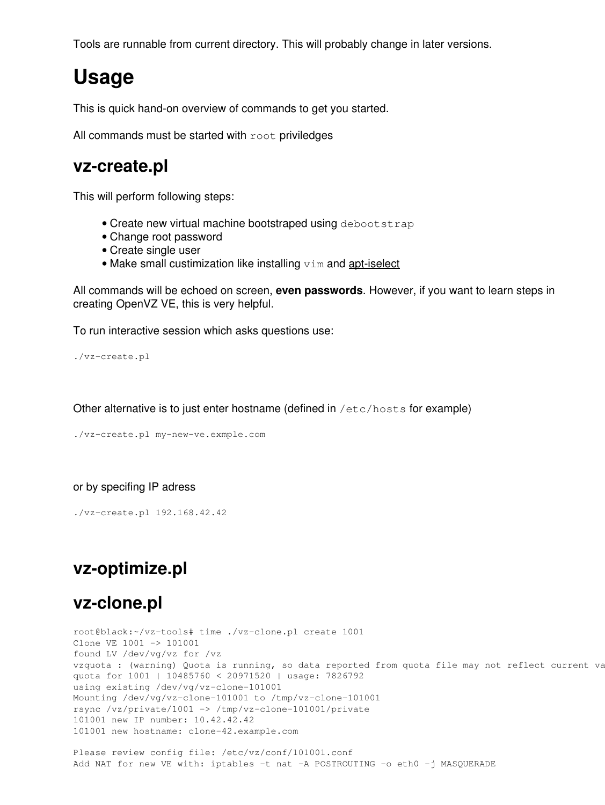Tools are runnable from current directory. This will probably change in later versions.

# **Usage**

This is quick hand-on overview of commands to get you started.

All commands must be started with root priviledges

#### **vz-create.pl**

This will perform following steps:

- Create new virtual machine bootstraped using debootstrap
- Change root password
- Create single user
- Make small custimization like installing  $v$ im and [apt-iselect](http://www.rot13.org/~dpavlin/apt-iselect.html)

All commands will be echoed on screen, **even passwords**. However, if you want to learn steps in creating OpenVZ VE, this is very helpful.

To run interactive session which asks questions use:

./vz-create.pl

Other alternative is to just enter hostname (defined in /etc/hosts for example)

./vz-create.pl my-new-ve.exmple.com

#### or by specifing IP adress

./vz-create.pl 192.168.42.42

### **vz-optimize.pl**

#### **vz-clone.pl**

root@black:~/vz-tools# time ./vz-clone.pl create 1001 Clone VE 1001 -> 101001 found LV /dev/vg/vz for /vz vzquota : (warning) Quota is running, so data reported from quota file may not reflect current va quota for 1001 | 10485760 < 20971520 | usage: 7826792 using existing /dev/vg/vz-clone-101001 Mounting /dev/vg/vz-clone-101001 to /tmp/vz-clone-101001 rsync /vz/private/1001 -> /tmp/vz-clone-101001/private 101001 new IP number: 10.42.42.42 101001 new hostname: clone-42.example.com

Please review config file: /etc/vz/conf/101001.conf Add NAT for new VE with: iptables -t nat -A POSTROUTING -o eth0 -j MASQUERADE